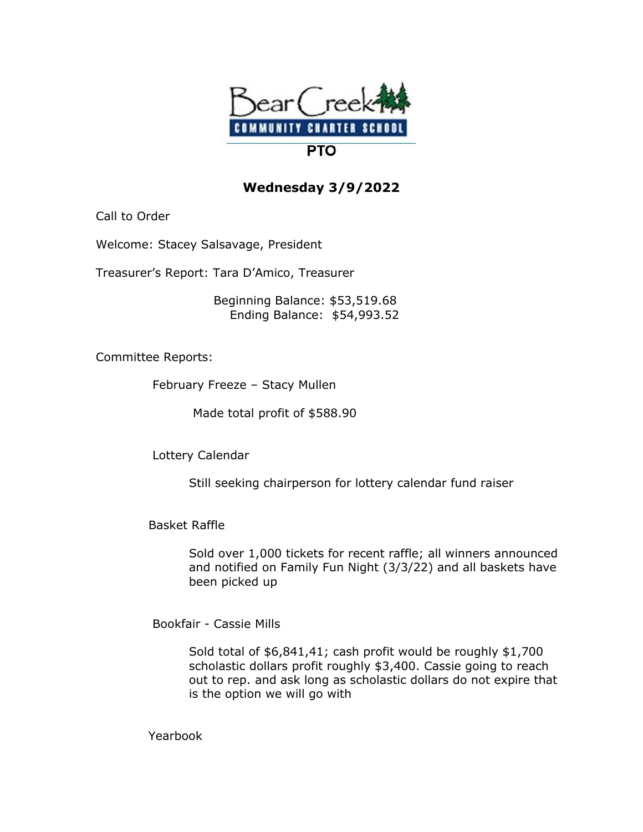

## **Wednesday 3/9/2022**

Call to Order

Welcome: Stacey Salsavage, President

Treasurer's Report: Tara D'Amico, Treasurer

 Beginning Balance: \$53,519.68 Ending Balance: \$54,993.52

Committee Reports:

February Freeze – Stacy Mullen

Made total profit of \$588.90

Lottery Calendar

Still seeking chairperson for lottery calendar fund raiser

Basket Raffle

 Sold over 1,000 tickets for recent raffle; all winners announced and notified on Family Fun Night (3/3/22) and all baskets have been picked up

Bookfair - Cassie Mills

 Sold total of \$6,841,41; cash profit would be roughly \$1,700 scholastic dollars profit roughly \$3,400. Cassie going to reach out to rep. and ask long as scholastic dollars do not expire that is the option we will go with

Yearbook